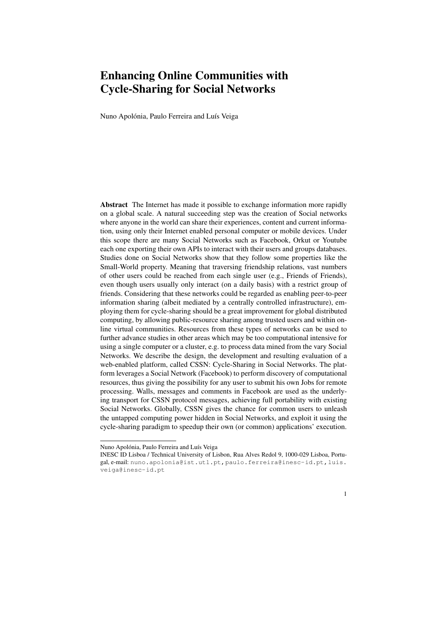Nuno Apolónia, Paulo Ferreira and Luís Veiga

Abstract The Internet has made it possible to exchange information more rapidly on a global scale. A natural succeeding step was the creation of Social networks where anyone in the world can share their experiences, content and current information, using only their Internet enabled personal computer or mobile devices. Under this scope there are many Social Networks such as Facebook, Orkut or Youtube each one exporting their own APIs to interact with their users and groups databases. Studies done on Social Networks show that they follow some properties like the Small-World property. Meaning that traversing friendship relations, vast numbers of other users could be reached from each single user (e.g., Friends of Friends), even though users usually only interact (on a daily basis) with a restrict group of friends. Considering that these networks could be regarded as enabling peer-to-peer information sharing (albeit mediated by a centrally controlled infrastructure), employing them for cycle-sharing should be a great improvement for global distributed computing, by allowing public-resource sharing among trusted users and within online virtual communities. Resources from these types of networks can be used to further advance studies in other areas which may be too computational intensive for using a single computer or a cluster, e.g. to process data mined from the vary Social Networks. We describe the design, the development and resulting evaluation of a web-enabled platform, called CSSN: Cycle-Sharing in Social Networks. The platform leverages a Social Network (Facebook) to perform discovery of computational resources, thus giving the possibility for any user to submit his own Jobs for remote processing. Walls, messages and comments in Facebook are used as the underlying transport for CSSN protocol messages, achieving full portability with existing Social Networks. Globally, CSSN gives the chance for common users to unleash the untapped computing power hidden in Social Networks, and exploit it using the cycle-sharing paradigm to speedup their own (or common) applications' execution.

INESC ID Lisboa / Technical University of Lisbon, Rua Alves Redol 9, 1000-029 Lisboa, Portugal, e-mail: nuno.apolonia@ist.utl.pt,paulo.ferreira@inesc-id.pt,luis. veiga@inesc-id.pt



Nuno Apolónia, Paulo Ferreira and Luís Veiga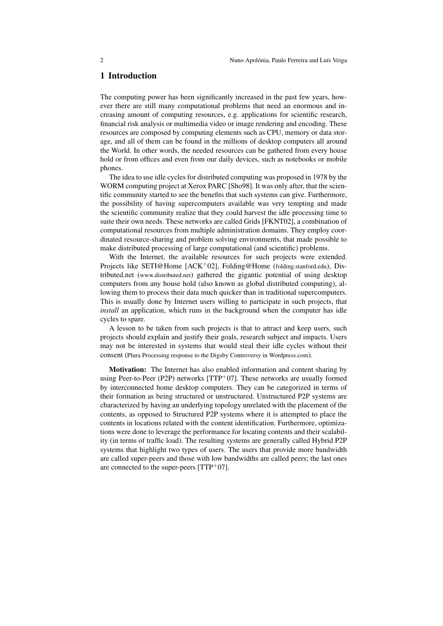# 1 Introduction

The computing power has been significantly increased in the past few years, however there are still many computational problems that need an enormous and increasing amount of computing resources, e.g. applications for scientific research, financial risk analysis or multimedia video or image rendering and encoding. These resources are composed by computing elements such as CPU, memory or data storage, and all of them can be found in the millions of desktop computers all around the World. In other words, the needed resources can be gathered from every house hold or from offices and even from our daily devices, such as notebooks or mobile phones.

The idea to use idle cycles for distributed computing was proposed in 1978 by the WORM computing project at Xerox PARC [Sho98]. It was only after, that the scientific community started to see the benefits that such systems can give. Furthermore, the possibility of having supercomputers available was very tempting and made the scientific community realize that they could harvest the idle processing time to suite their own needs. These networks are called Grids [FKNT02], a combination of computational resources from multiple administration domains. They employ coordinated resource-sharing and problem solving environments, that made possible to make distributed processing of large computational (and scientific) problems.

With the Internet, the available resources for such projects were extended. Projects like SETI@Home [ACK+02], Folding@Home (folding.stanford.edu), Distributed.net (www.distributed.net) gathered the gigantic potential of using desktop computers from any house hold (also known as global distributed computing), allowing them to process their data much quicker than in traditional supercomputers. This is usually done by Internet users willing to participate in such projects, that *install* an application, which runs in the background when the computer has idle cycles to spare.

A lesson to be taken from such projects is that to attract and keep users, such projects should explain and justify their goals, research subject and impacts. Users may not be interested in systems that would steal their idle cycles without their consent (Plura Processing response to the Digsby Controversy in Wordpress.com).

Motivation: The Internet has also enabled information and content sharing by using Peer-to-Peer (P2P) networks  $[TTP<sup>+</sup>07]$ . These networks are usually formed by interconnected home desktop computers. They can be categorized in terms of their formation as being structured or unstructured. Unstructured P2P systems are characterized by having an underlying topology unrelated with the placement of the contents, as opposed to Structured P2P systems where it is attempted to place the contents in locations related with the content identification. Furthermore, optimizations were done to leverage the performance for locating contents and their scalability (in terms of traffic load). The resulting systems are generally called Hybrid P2P systems that highlight two types of users. The users that provide more bandwidth are called super-peers and those with low bandwidths are called peers; the last ones are connected to the super-peers  $[TTP<sup>+</sup>07]$ .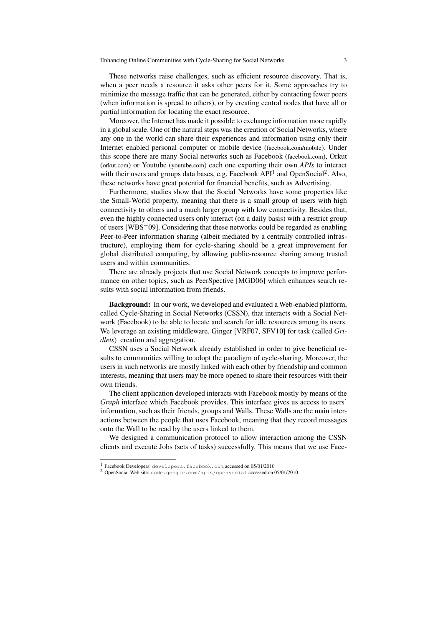These networks raise challenges, such as efficient resource discovery. That is, when a peer needs a resource it asks other peers for it. Some approaches try to minimize the message traffic that can be generated, either by contacting fewer peers (when information is spread to others), or by creating central nodes that have all or partial information for locating the exact resource.

Moreover, the Internet has made it possible to exchange information more rapidly in a global scale. One of the natural steps was the creation of Social Networks, where any one in the world can share their experiences and information using only their Internet enabled personal computer or mobile device (facebook.com/mobile). Under this scope there are many Social networks such as Facebook (facebook.com), Orkut (orkut.com) or Youtube (youtube.com) each one exporting their own *APIs* to interact with their users and groups data bases, e.g. Facebook  $API<sup>1</sup>$  and OpenSocial<sup>2</sup>. Also, these networks have great potential for financial benefits, such as Advertising.

Furthermore, studies show that the Social Networks have some properties like the Small-World property, meaning that there is a small group of users with high connectivity to others and a much larger group with low connectivity. Besides that, even the highly connected users only interact (on a daily basis) with a restrict group of users  $[WBS^+09]$ . Considering that these networks could be regarded as enabling Peer-to-Peer information sharing (albeit mediated by a centrally controlled infrastructure), employing them for cycle-sharing should be a great improvement for global distributed computing, by allowing public-resource sharing among trusted users and within communities.

There are already projects that use Social Network concepts to improve performance on other topics, such as PeerSpective [MGD06] which enhances search results with social information from friends.

Background: In our work, we developed and evaluated a Web-enabled platform, called Cycle-Sharing in Social Networks (CSSN), that interacts with a Social Network (Facebook) to be able to locate and search for idle resources among its users. We leverage an existing middleware, Ginger [VRF07, SFV10] for task (called *Gridlets*) creation and aggregation.

CSSN uses a Social Network already established in order to give beneficial results to communities willing to adopt the paradigm of cycle-sharing. Moreover, the users in such networks are mostly linked with each other by friendship and common interests, meaning that users may be more opened to share their resources with their own friends.

The client application developed interacts with Facebook mostly by means of the *Graph* interface which Facebook provides. This interface gives us access to users' information, such as their friends, groups and Walls. These Walls are the main interactions between the people that uses Facebook, meaning that they record messages onto the Wall to be read by the users linked to them.

We designed a communication protocol to allow interaction among the CSSN clients and execute Jobs (sets of tasks) successfully. This means that we use Face-

<sup>1</sup> Facebook Developers: developers.facebook.com accessed on 05/01/2010

<sup>2</sup> OpenSocial Web site: code.google.com/apis/opensocial accessed on 05/01/2010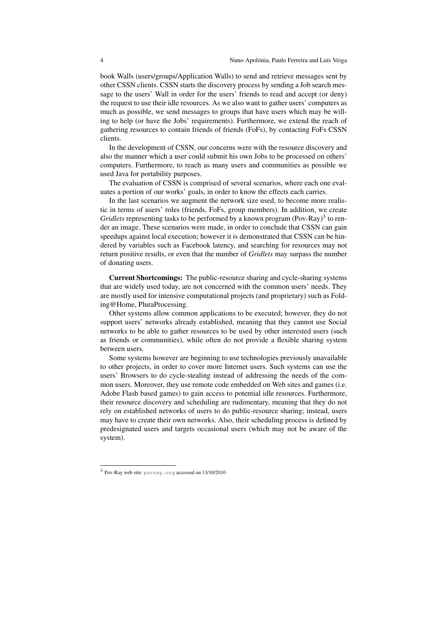book Walls (users/groups/Application Walls) to send and retrieve messages sent by other CSSN clients. CSSN starts the discovery process by sending a Job search message to the users' Wall in order for the users' friends to read and accept (or deny) the request to use their idle resources. As we also want to gather users' computers as much as possible, we send messages to groups that have users which may be willing to help (or have the Jobs' requirements). Furthermore, we extend the reach of gathering resources to contain friends of friends (FoFs), by contacting FoFs CSSN clients.

In the development of CSSN, our concerns were with the resource discovery and also the manner which a user could submit his own Jobs to be processed on others' computers. Furthermore, to reach as many users and communities as possible we used Java for portability purposes.

The evaluation of CSSN is comprised of several scenarios, where each one evaluates a portion of our works' goals, in order to know the effects each carries.

In the last scenarios we augment the network size used, to become more realistic in terms of users' roles (friends, FoFs, group members). In addition, we create Gridlets representing tasks to be performed by a known program (Pov-Ray)<sup>3</sup> to render an image. These scenarios were made, in order to conclude that CSSN can gain speedups against local execution; however it is demonstrated that CSSN can be hindered by variables such as Facebook latency, and searching for resources may not return positive results, or even that the number of *Gridlets* may surpass the number of donating users.

Current Shortcomings: The public-resource sharing and cycle-sharing systems that are widely used today, are not concerned with the common users' needs. They are mostly used for intensive computational projects (and proprietary) such as Folding@Home, PluraProcessing.

Other systems allow common applications to be executed; however, they do not support users' networks already established, meaning that they cannot use Social networks to be able to gather resources to be used by other interested users (such as friends or communities), while often do not provide a flexible sharing system between users.

Some systems however are beginning to use technologies previously unavailable to other projects, in order to cover more Internet users. Such systems can use the users' Browsers to do cycle-stealing instead of addressing the needs of the common users. Moreover, they use remote code embedded on Web sites and games (i.e. Adobe Flash based games) to gain access to potential idle resources. Furthermore, their resource discovery and scheduling are rudimentary, meaning that they do not rely on established networks of users to do public-resource sharing; instead, users may have to create their own networks. Also, their scheduling process is defined by predesignated users and targets occasional users (which may not be aware of the system).

<sup>&</sup>lt;sup>3</sup> Pov-Ray web site: povray.org accessed on 13/10/2010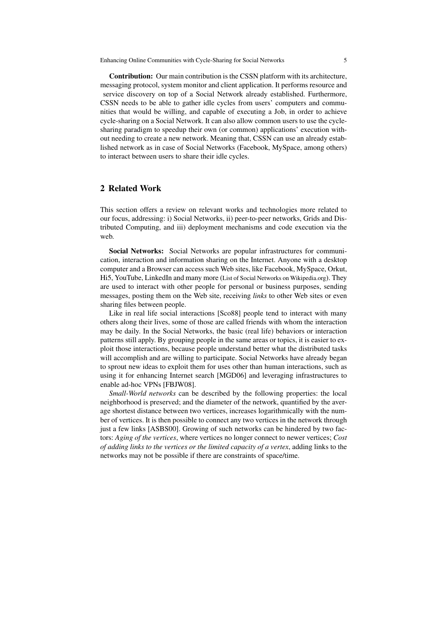Contribution: Our main contribution is the CSSN platform with its architecture, messaging protocol, system monitor and client application. It performs resource and service discovery on top of a Social Network already established. Furthermore, CSSN needs to be able to gather idle cycles from users' computers and communities that would be willing, and capable of executing a Job, in order to achieve cycle-sharing on a Social Network. It can also allow common users to use the cyclesharing paradigm to speedup their own (or common) applications' execution without needing to create a new network. Meaning that, CSSN can use an already established network as in case of Social Networks (Facebook, MySpace, among others) to interact between users to share their idle cycles.

### 2 Related Work

This section offers a review on relevant works and technologies more related to our focus, addressing: i) Social Networks, ii) peer-to-peer networks, Grids and Distributed Computing, and iii) deployment mechanisms and code execution via the web.

Social Networks: Social Networks are popular infrastructures for communication, interaction and information sharing on the Internet. Anyone with a desktop computer and a Browser can access such Web sites, like Facebook, MySpace, Orkut, Hi5, YouTube, LinkedIn and many more (List of Social Networks on Wikipedia.org). They are used to interact with other people for personal or business purposes, sending messages, posting them on the Web site, receiving *links* to other Web sites or even sharing files between people.

Like in real life social interactions [Sco88] people tend to interact with many others along their lives, some of those are called friends with whom the interaction may be daily. In the Social Networks, the basic (real life) behaviors or interaction patterns still apply. By grouping people in the same areas or topics, it is easier to exploit those interactions, because people understand better what the distributed tasks will accomplish and are willing to participate. Social Networks have already began to sprout new ideas to exploit them for uses other than human interactions, such as using it for enhancing Internet search [MGD06] and leveraging infrastructures to enable ad-hoc VPNs [FBJW08].

*Small-World networks* can be described by the following properties: the local neighborhood is preserved; and the diameter of the network, quantified by the average shortest distance between two vertices, increases logarithmically with the number of vertices. It is then possible to connect any two vertices in the network through just a few links [ASBS00]. Growing of such networks can be hindered by two factors: *Aging of the vertices*, where vertices no longer connect to newer vertices; *Cost of adding links to the vertices or the limited capacity of a vertex*, adding links to the networks may not be possible if there are constraints of space/time.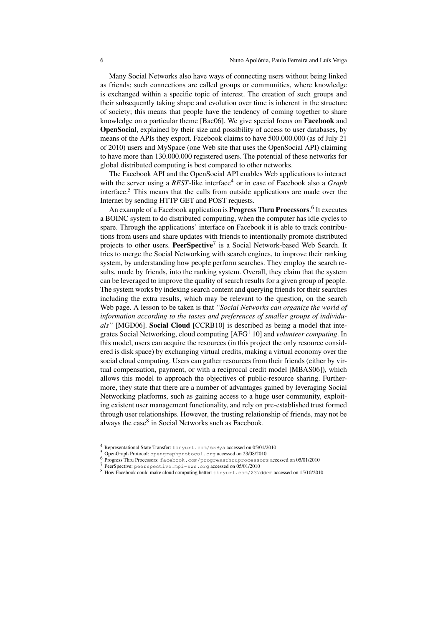Many Social Networks also have ways of connecting users without being linked as friends; such connections are called groups or communities, where knowledge is exchanged within a specific topic of interest. The creation of such groups and their subsequently taking shape and evolution over time is inherent in the structure of society; this means that people have the tendency of coming together to share knowledge on a particular theme [Bac06]. We give special focus on **Facebook** and OpenSocial, explained by their size and possibility of access to user databases, by means of the APIs they export. Facebook claims to have 500.000.000 (as of July 21 of 2010) users and MySpace (one Web site that uses the OpenSocial API) claiming to have more than 130.000.000 registered users. The potential of these networks for global distributed computing is best compared to other networks.

The Facebook API and the OpenSocial API enables Web applications to interact with the server using a *REST*-like interface<sup>4</sup> or in case of Facebook also a *Graph* interface.<sup>5</sup> This means that the calls from outside applications are made over the Internet by sending HTTP GET and POST requests.

An example of a Facebook application is **Progress Thru Processors**.<sup>6</sup> It executes a BOINC system to do distributed computing, when the computer has idle cycles to spare. Through the applications' interface on Facebook it is able to track contributions from users and share updates with friends to intentionally promote distributed projects to other users. PeerSpective<sup>7</sup> is a Social Network-based Web Search. It tries to merge the Social Networking with search engines, to improve their ranking system, by understanding how people perform searches. They employ the search results, made by friends, into the ranking system. Overall, they claim that the system can be leveraged to improve the quality of search results for a given group of people. The system works by indexing search content and querying friends for their searches including the extra results, which may be relevant to the question, on the search Web page. A lesson to be taken is that *"Social Networks can organize the world of information according to the tastes and preferences of smaller groups of individuals"* [MGD06]. Social Cloud [CCRB10] is described as being a model that integrates Social Networking, cloud computing [AFG+10] and *volunteer computing*. In this model, users can acquire the resources (in this project the only resource considered is disk space) by exchanging virtual credits, making a virtual economy over the social cloud computing. Users can gather resources from their friends (either by virtual compensation, payment, or with a reciprocal credit model [MBAS06]), which allows this model to approach the objectives of public-resource sharing. Furthermore, they state that there are a number of advantages gained by leveraging Social Networking platforms, such as gaining access to a huge user community, exploiting existent user management functionality, and rely on pre-established trust formed through user relationships. However, the trusting relationship of friends, may not be always the case<sup>8</sup> in Social Networks such as Facebook.

<sup>4</sup> Representational State Transfer: tinyurl.com/6x9ya accessed on 05/01/2010

<sup>5</sup> OpenGraph Protocol: opengraphprotocol.org accessed on 23/08/2010

<sup>6&</sup>lt;br>Trogress Thru Processors: facebook.com/progressthruprocessors accessed on 05/01/2010<br>7 PeerSpective: poorspoctive, mpigawa, organized on 05/01/2010

PeerSpective: peerspective.mpi-sws.org accessed on 05/01/2010

<sup>8</sup> How Facebook could make cloud computing better: tinyurl.com/237ddem accessed on 15/10/2010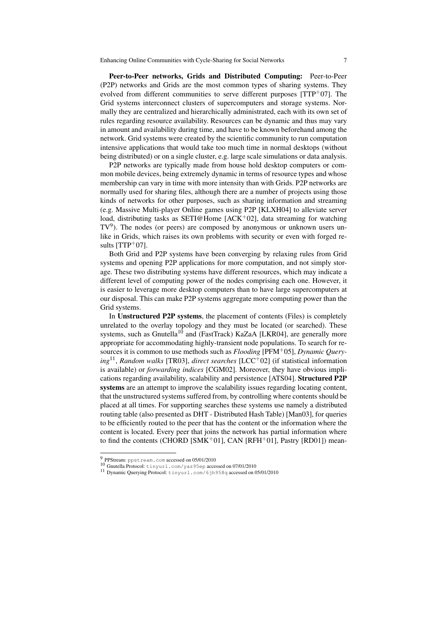Peer-to-Peer networks, Grids and Distributed Computing: Peer-to-Peer (P2P) networks and Grids are the most common types of sharing systems. They evolved from different communities to serve different purposes  $[TTP<sup>+</sup>07]$ . The Grid systems interconnect clusters of supercomputers and storage systems. Normally they are centralized and hierarchically administrated, each with its own set of rules regarding resource availability. Resources can be dynamic and thus may vary in amount and availability during time, and have to be known beforehand among the network. Grid systems were created by the scientific community to run computation intensive applications that would take too much time in normal desktops (without being distributed) or on a single cluster, e.g. large scale simulations or data analysis.

P2P networks are typically made from house hold desktop computers or common mobile devices, being extremely dynamic in terms of resource types and whose membership can vary in time with more intensity than with Grids. P2P networks are normally used for sharing files, although there are a number of projects using those kinds of networks for other purposes, such as sharing information and streaming (e.g. Massive Multi-player Online games using P2P [KLXH04] to alleviate server load, distributing tasks as SETI@Home [ACK+02], data streaming for watching  $TV<sup>9</sup>$ ). The nodes (or peers) are composed by anonymous or unknown users unlike in Grids, which raises its own problems with security or even with forged results  $[TTP+07]$ .

Both Grid and P2P systems have been converging by relaxing rules from Grid systems and opening P2P applications for more computation, and not simply storage. These two distributing systems have different resources, which may indicate a different level of computing power of the nodes comprising each one. However, it is easier to leverage more desktop computers than to have large supercomputers at our disposal. This can make P2P systems aggregate more computing power than the Grid systems.

In Unstructured P2P systems, the placement of contents (Files) is completely unrelated to the overlay topology and they must be located (or searched). These systems, such as Gnutella<sup>10</sup> and (FastTrack) KaZaA [LKR04], are generally more appropriate for accommodating highly-transient node populations. To search for resources it is common to use methods such as *Flooding* [PFM+05], *Dynamic Querying*<sup>11</sup> , *Random walks* [TR03], *direct searches* [LCC+02] (if statistical information is available) or *forwarding indices* [CGM02]. Moreover, they have obvious implications regarding availability, scalability and persistence [ATS04]. Structured P2P systems are an attempt to improve the scalability issues regarding locating content, that the unstructured systems suffered from, by controlling where contents should be placed at all times. For supporting searches these systems use namely a distributed routing table (also presented as DHT - Distributed Hash Table) [Man03], for queries to be efficiently routed to the peer that has the content or the information where the content is located. Every peer that joins the network has partial information where to find the contents (CHORD [SMK<sup>+</sup>01], CAN [RFH<sup>+</sup>01], Pastry [RD01]) mean-

PPStream: ppstream.com accessed on 05/01/2010

<sup>10</sup> Gnutella Protocol: tinyurl.com/yaz95ep accessed on 07/01/2010

<sup>11</sup> Dynamic Querying Protocol: tinyurl.com/6jh958q accessed on 05/01/2010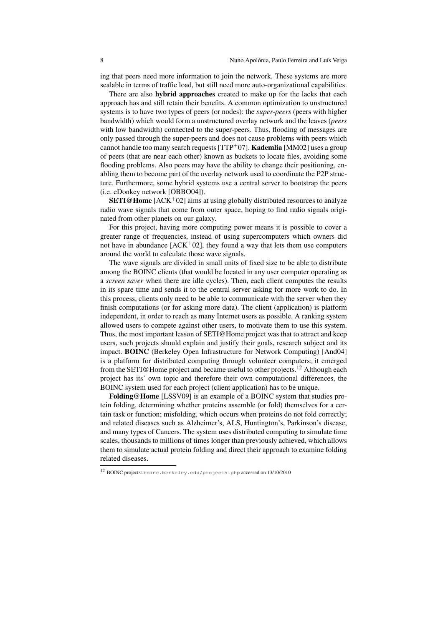ing that peers need more information to join the network. These systems are more scalable in terms of traffic load, but still need more auto-organizational capabilities.

There are also hybrid approaches created to make up for the lacks that each approach has and still retain their benefits. A common optimization to unstructured systems is to have two types of peers (or nodes): the *super-peers* (peers with higher bandwidth) which would form a unstructured overlay network and the leaves (*peers* with low bandwidth) connected to the super-peers. Thus, flooding of messages are only passed through the super-peers and does not cause problems with peers which cannot handle too many search requests  $[TTP^+07]$ . **Kademlia** [MM02] uses a group of peers (that are near each other) known as buckets to locate files, avoiding some flooding problems. Also peers may have the ability to change their positioning, enabling them to become part of the overlay network used to coordinate the P2P structure. Furthermore, some hybrid systems use a central server to bootstrap the peers (i.e. eDonkey network [OBBO04]).

**SETI@Home**  $[ACK^+02]$  aims at using globally distributed resources to analyze radio wave signals that come from outer space, hoping to find radio signals originated from other planets on our galaxy.

For this project, having more computing power means it is possible to cover a greater range of frequencies, instead of using supercomputers which owners did not have in abundance  $[ACK<sup>+</sup>02]$ , they found a way that lets them use computers around the world to calculate those wave signals.

The wave signals are divided in small units of fixed size to be able to distribute among the BOINC clients (that would be located in any user computer operating as a *screen saver* when there are idle cycles). Then, each client computes the results in its spare time and sends it to the central server asking for more work to do. In this process, clients only need to be able to communicate with the server when they finish computations (or for asking more data). The client (application) is platform independent, in order to reach as many Internet users as possible. A ranking system allowed users to compete against other users, to motivate them to use this system. Thus, the most important lesson of SETI@Home project was that to attract and keep users, such projects should explain and justify their goals, research subject and its impact. BOINC (Berkeley Open Infrastructure for Network Computing) [And04] is a platform for distributed computing through volunteer computers; it emerged from the SETI@Home project and became useful to other projects.<sup>12</sup> Although each project has its' own topic and therefore their own computational differences, the BOINC system used for each project (client application) has to be unique.

Folding@Home [LSSV09] is an example of a BOINC system that studies protein folding, determining whether proteins assemble (or fold) themselves for a certain task or function; misfolding, which occurs when proteins do not fold correctly; and related diseases such as Alzheimer's, ALS, Huntington's, Parkinson's disease, and many types of Cancers. The system uses distributed computing to simulate time scales, thousands to millions of times longer than previously achieved, which allows them to simulate actual protein folding and direct their approach to examine folding related diseases.

<sup>12</sup> BOINC projects: boinc.berkeley.edu/projects.php accessed on 13/10/2010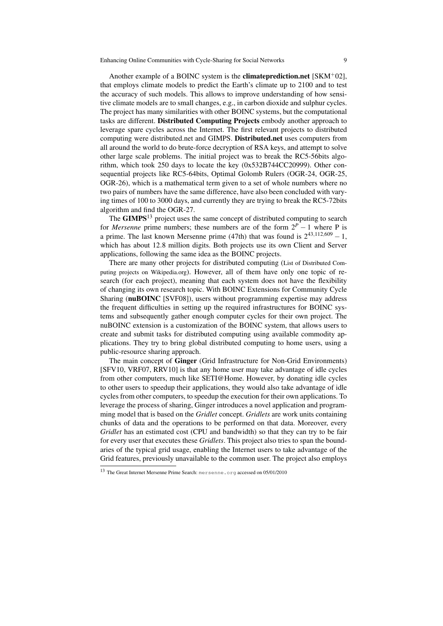Another example of a BOINC system is the **climateprediction.net** [SKM+02], that employs climate models to predict the Earth's climate up to 2100 and to test the accuracy of such models. This allows to improve understanding of how sensitive climate models are to small changes, e.g., in carbon dioxide and sulphur cycles. The project has many similarities with other BOINC systems, but the computational tasks are different. Distributed Computing Projects embody another approach to leverage spare cycles across the Internet. The first relevant projects to distributed computing were distributed.net and GIMPS. Distributed.net uses computers from all around the world to do brute-force decryption of RSA keys, and attempt to solve other large scale problems. The initial project was to break the RC5-56bits algorithm, which took 250 days to locate the key (0x532B744CC20999). Other consequential projects like RC5-64bits, Optimal Golomb Rulers (OGR-24, OGR-25, OGR-26), which is a mathematical term given to a set of whole numbers where no two pairs of numbers have the same difference, have also been concluded with varying times of 100 to 3000 days, and currently they are trying to break the RC5-72bits algorithm and find the OGR-27.

The  $\text{GIMPS}^{13}$  project uses the same concept of distributed computing to search for *Mersenne* prime numbers; these numbers are of the form  $2^P - 1$  where P is a prime. The last known Mersenne prime (47th) that was found is  $2^{43,112,609} - 1$ , which has about 12*.*8 million digits. Both projects use its own Client and Server applications, following the same idea as the BOINC projects.

There are many other projects for distributed computing (List of Distributed Computing projects on Wikipedia.org). However, all of them have only one topic of research (for each project), meaning that each system does not have the flexibility of changing its own research topic. With BOINC Extensions for Community Cycle Sharing (nuBOINC [SVF08]), users without programming expertise may address the frequent difficulties in setting up the required infrastructures for BOINC systems and subsequently gather enough computer cycles for their own project. The nuBOINC extension is a customization of the BOINC system, that allows users to create and submit tasks for distributed computing using available commodity applications. They try to bring global distributed computing to home users, using a public-resource sharing approach.

The main concept of Ginger (Grid Infrastructure for Non-Grid Environments) [SFV10, VRF07, RRV10] is that any home user may take advantage of idle cycles from other computers, much like SETI@Home. However, by donating idle cycles to other users to speedup their applications, they would also take advantage of idle cycles from other computers, to speedup the execution for their own applications. To leverage the process of sharing, Ginger introduces a novel application and programming model that is based on the *Gridlet* concept. *Gridlets* are work units containing chunks of data and the operations to be performed on that data. Moreover, every *Gridlet* has an estimated cost (CPU and bandwidth) so that they can try to be fair for every user that executes these *Gridlets*. This project also tries to span the boundaries of the typical grid usage, enabling the Internet users to take advantage of the Grid features, previously unavailable to the common user. The project also employs

<sup>13</sup> The Great Internet Mersenne Prime Search: mersenne.org accessed on 05/01/2010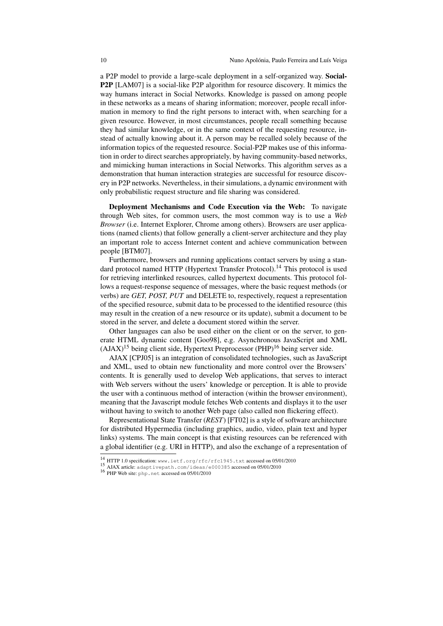a P2P model to provide a large-scale deployment in a self-organized way. Social-P2P [LAM07] is a social-like P2P algorithm for resource discovery. It mimics the way humans interact in Social Networks. Knowledge is passed on among people in these networks as a means of sharing information; moreover, people recall information in memory to find the right persons to interact with, when searching for a given resource. However, in most circumstances, people recall something because they had similar knowledge, or in the same context of the requesting resource, instead of actually knowing about it. A person may be recalled solely because of the information topics of the requested resource. Social-P2P makes use of this information in order to direct searches appropriately, by having community-based networks, and mimicking human interactions in Social Networks. This algorithm serves as a demonstration that human interaction strategies are successful for resource discovery in P2P networks. Nevertheless, in their simulations, a dynamic environment with only probabilistic request structure and file sharing was considered.

Deployment Mechanisms and Code Execution via the Web: To navigate through Web sites, for common users, the most common way is to use a *Web Browser* (i.e. Internet Explorer, Chrome among others). Browsers are user applications (named clients) that follow generally a client-server architecture and they play an important role to access Internet content and achieve communication between people [BTM07].

Furthermore, browsers and running applications contact servers by using a standard protocol named HTTP (Hypertext Transfer Protocol).<sup>14</sup> This protocol is used for retrieving interlinked resources, called hypertext documents. This protocol follows a request-response sequence of messages, where the basic request methods (or verbs) are *GET, POST, PUT* and DELETE to, respectively, request a representation of the specified resource, submit data to be processed to the identified resource (this may result in the creation of a new resource or its update), submit a document to be stored in the server, and delete a document stored within the server.

Other languages can also be used either on the client or on the server, to generate HTML dynamic content [Goo98], e.g. Asynchronous JavaScript and XML  $(AJAX)^{15}$  being client side, Hypertext Preprocessor (PHP)<sup>16</sup> being server side.

AJAX [CPJ05] is an integration of consolidated technologies, such as JavaScript and XML, used to obtain new functionality and more control over the Browsers' contents. It is generally used to develop Web applications, that serves to interact with Web servers without the users' knowledge or perception. It is able to provide the user with a continuous method of interaction (within the browser environment), meaning that the Javascript module fetches Web contents and displays it to the user without having to switch to another Web page (also called non flickering effect).

Representational State Transfer (*REST*) [FT02] is a style of software architecture for distributed Hypermedia (including graphics, audio, video, plain text and hyper links) systems. The main concept is that existing resources can be referenced with a global identifier (e.g. URI in HTTP), and also the exchange of a representation of

<sup>14</sup> HTTP 1.0 specification: www.ietf.org/rfc/rfc1945.txt accessed on 05/01/2010

<sup>15</sup> AJAX article: adaptivepath.com/ideas/e000385 accessed on 05/01/2010

<sup>16</sup> PHP Web site: php.net accessed on 05/01/2010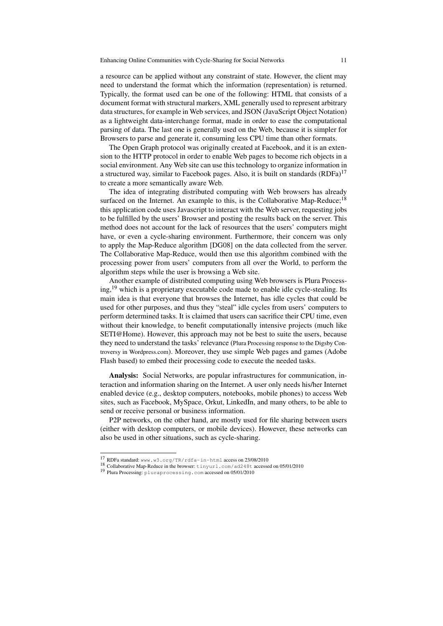a resource can be applied without any constraint of state. However, the client may need to understand the format which the information (representation) is returned. Typically, the format used can be one of the following: HTML that consists of a document format with structural markers, XML generally used to represent arbitrary data structures, for example in Web services, and JSON (JavaScript Object Notation) as a lightweight data-interchange format, made in order to ease the computational parsing of data. The last one is generally used on the Web, because it is simpler for Browsers to parse and generate it, consuming less CPU time than other formats.

The Open Graph protocol was originally created at Facebook, and it is an extension to the HTTP protocol in order to enable Web pages to become rich objects in a social environment. Any Web site can use this technology to organize information in a structured way, similar to Facebook pages. Also, it is built on standards (RDFa)<sup>17</sup> to create a more semantically aware Web.

The idea of integrating distributed computing with Web browsers has already surfaced on the Internet. An example to this, is the Collaborative Map-Reduce;<sup>18</sup> this application code uses Javascript to interact with the Web server, requesting jobs to be fulfilled by the users' Browser and posting the results back on the server. This method does not account for the lack of resources that the users' computers might have, or even a cycle-sharing environment. Furthermore, their concern was only to apply the Map-Reduce algorithm [DG08] on the data collected from the server. The Collaborative Map-Reduce, would then use this algorithm combined with the processing power from users' computers from all over the World, to perform the algorithm steps while the user is browsing a Web site.

Another example of distributed computing using Web browsers is Plura Processing,<sup>19</sup> which is a proprietary executable code made to enable idle cycle-stealing. Its main idea is that everyone that browses the Internet, has idle cycles that could be used for other purposes, and thus they "steal" idle cycles from users' computers to perform determined tasks. It is claimed that users can sacrifice their CPU time, even without their knowledge, to benefit computationally intensive projects (much like SETI@Home). However, this approach may not be best to suite the users, because they need to understand the tasks' relevance (Plura Processing response to the Digsby Controversy in Wordpress.com). Moreover, they use simple Web pages and games (Adobe Flash based) to embed their processing code to execute the needed tasks.

Analysis: Social Networks, are popular infrastructures for communication, interaction and information sharing on the Internet. A user only needs his/her Internet enabled device (e.g., desktop computers, notebooks, mobile phones) to access Web sites, such as Facebook, MySpace, Orkut, LinkedIn, and many others, to be able to send or receive personal or business information.

P2P networks, on the other hand, are mostly used for file sharing between users (either with desktop computers, or mobile devices). However, these networks can also be used in other situations, such as cycle-sharing.

<sup>&</sup>lt;sup>17</sup> RDFa standard: www.w3.org/TR/rdfa-in-html access on 23/08/2010

<sup>18</sup> Collaborative Map-Reduce in the browser: tinyurl.com/ad248t accessed on 05/01/2010

<sup>19</sup> Plura Processing: pluraprocessing.com accessed on 05/01/2010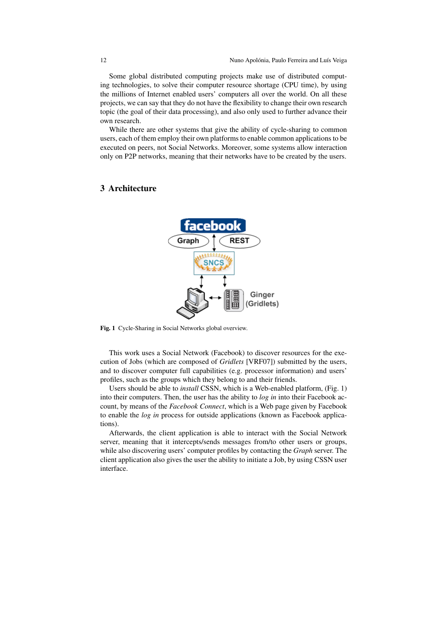Some global distributed computing projects make use of distributed computing technologies, to solve their computer resource shortage (CPU time), by using the millions of Internet enabled users' computers all over the world. On all these projects, we can say that they do not have the flexibility to change their own research topic (the goal of their data processing), and also only used to further advance their own research.

While there are other systems that give the ability of cycle-sharing to common users, each of them employ their own platforms to enable common applications to be executed on peers, not Social Networks. Moreover, some systems allow interaction only on P2P networks, meaning that their networks have to be created by the users.

# 3 Architecture



Fig. 1 Cycle-Sharing in Social Networks global overview.

This work uses a Social Network (Facebook) to discover resources for the execution of Jobs (which are composed of *Gridlets* [VRF07]) submitted by the users, and to discover computer full capabilities (e.g. processor information) and users' profiles, such as the groups which they belong to and their friends.

Users should be able to *install* CSSN, which is a Web-enabled platform, (Fig. 1) into their computers. Then, the user has the ability to *log in* into their Facebook account, by means of the *Facebook Connect*, which is a Web page given by Facebook to enable the *log in* process for outside applications (known as Facebook applications).

Afterwards, the client application is able to interact with the Social Network server, meaning that it intercepts/sends messages from/to other users or groups, while also discovering users' computer profiles by contacting the *Graph* server. The client application also gives the user the ability to initiate a Job, by using CSSN user interface.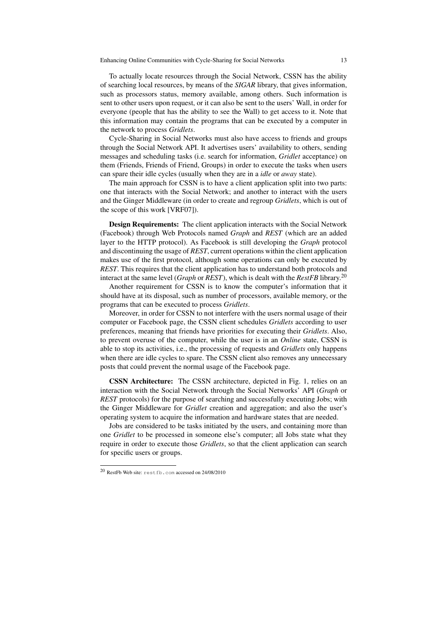To actually locate resources through the Social Network, CSSN has the ability of searching local resources, by means of the *SIGAR* library, that gives information, such as processors status, memory available, among others. Such information is sent to other users upon request, or it can also be sent to the users' Wall, in order for everyone (people that has the ability to see the Wall) to get access to it. Note that this information may contain the programs that can be executed by a computer in the network to process *Gridlets*.

Cycle-Sharing in Social Networks must also have access to friends and groups through the Social Network API. It advertises users' availability to others, sending messages and scheduling tasks (i.e. search for information, *Gridlet* acceptance) on them (Friends, Friends of Friend, Groups) in order to execute the tasks when users can spare their idle cycles (usually when they are in a *idle* or *away* state).

The main approach for CSSN is to have a client application split into two parts: one that interacts with the Social Network; and another to interact with the users and the Ginger Middleware (in order to create and regroup *Gridlets*, which is out of the scope of this work [VRF07]).

Design Requirements: The client application interacts with the Social Network (Facebook) through Web Protocols named *Graph* and *REST* (which are an added layer to the HTTP protocol). As Facebook is still developing the *Graph* protocol and discontinuing the usage of *REST*, current operations within the client application makes use of the first protocol, although some operations can only be executed by *REST*. This requires that the client application has to understand both protocols and interact at the same level (*Graph* or *REST*), which is dealt with the *RestFB* library.<sup>20</sup>

Another requirement for CSSN is to know the computer's information that it should have at its disposal, such as number of processors, available memory, or the programs that can be executed to process *Gridlets*.

Moreover, in order for CSSN to not interfere with the users normal usage of their computer or Facebook page, the CSSN client schedules *Gridlets* according to user preferences, meaning that friends have priorities for executing their *Gridlets*. Also, to prevent overuse of the computer, while the user is in an *Online* state, CSSN is able to stop its activities, i.e., the processing of requests and *Gridlets* only happens when there are idle cycles to spare. The CSSN client also removes any unnecessary posts that could prevent the normal usage of the Facebook page.

CSSN Architecture: The CSSN architecture, depicted in Fig. 1, relies on an interaction with the Social Network through the Social Networks' API (*Graph* or *REST* protocols) for the purpose of searching and successfully executing Jobs; with the Ginger Middleware for *Gridlet* creation and aggregation; and also the user's operating system to acquire the information and hardware states that are needed.

Jobs are considered to be tasks initiated by the users, and containing more than one *Gridlet* to be processed in someone else's computer; all Jobs state what they require in order to execute those *Gridlets*, so that the client application can search for specific users or groups.

<sup>20</sup> RestFb Web site: restfb.com accessed on 24/08/2010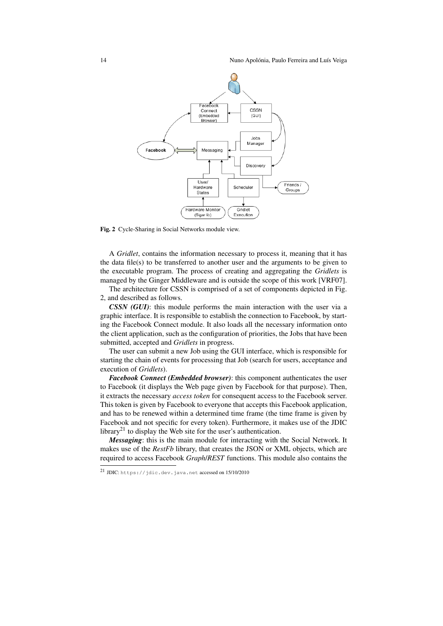

Fig. 2 Cycle-Sharing in Social Networks module view.

A *Gridlet*, contains the information necessary to process it, meaning that it has the data file(s) to be transferred to another user and the arguments to be given to the executable program. The process of creating and aggregating the *Gridlets* is managed by the Ginger Middleware and is outside the scope of this work [VRF07].

The architecture for CSSN is comprised of a set of components depicted in Fig. 2, and described as follows.

*CSSN (GUI)*: this module performs the main interaction with the user via a graphic interface. It is responsible to establish the connection to Facebook, by starting the Facebook Connect module. It also loads all the necessary information onto the client application, such as the configuration of priorities, the Jobs that have been submitted, accepted and *Gridlets* in progress.

The user can submit a new Job using the GUI interface, which is responsible for starting the chain of events for processing that Job (search for users, acceptance and execution of *Gridlets*).

*Facebook Connect (Embedded browser)*: this component authenticates the user to Facebook (it displays the Web page given by Facebook for that purpose). Then, it extracts the necessary *access token* for consequent access to the Facebook server. This token is given by Facebook to everyone that accepts this Facebook application, and has to be renewed within a determined time frame (the time frame is given by Facebook and not specific for every token). Furthermore, it makes use of the JDIC library<sup>21</sup> to display the Web site for the user's authentication.

*Messaging*: this is the main module for interacting with the Social Network. It makes use of the *RestFb* library, that creates the JSON or XML objects, which are required to access Facebook *Graph*/*REST* functions. This module also contains the

<sup>21</sup> JDIC: https://jdic.dev.java.net accessed on 15/10/2010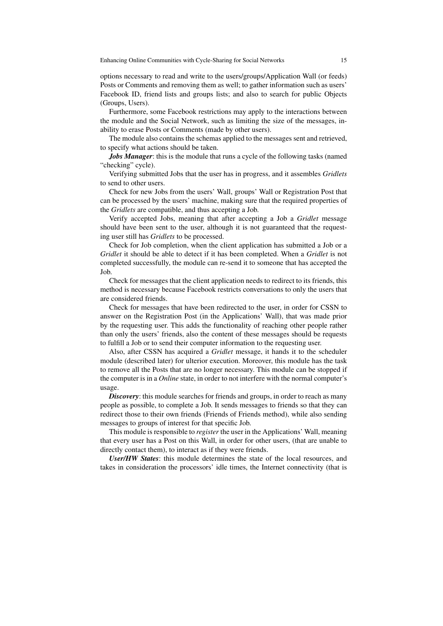options necessary to read and write to the users/groups/Application Wall (or feeds) Posts or Comments and removing them as well; to gather information such as users' Facebook ID, friend lists and groups lists; and also to search for public Objects (Groups, Users).

Furthermore, some Facebook restrictions may apply to the interactions between the module and the Social Network, such as limiting the size of the messages, inability to erase Posts or Comments (made by other users).

The module also contains the schemas applied to the messages sent and retrieved, to specify what actions should be taken.

*Jobs Manager*: this is the module that runs a cycle of the following tasks (named "checking" cycle).

Verifying submitted Jobs that the user has in progress, and it assembles *Gridlets* to send to other users.

Check for new Jobs from the users' Wall, groups' Wall or Registration Post that can be processed by the users' machine, making sure that the required properties of the *Gridlets* are compatible, and thus accepting a Job.

Verify accepted Jobs, meaning that after accepting a Job a *Gridlet* message should have been sent to the user, although it is not guaranteed that the requesting user still has *Gridlets* to be processed.

Check for Job completion, when the client application has submitted a Job or a *Gridlet* it should be able to detect if it has been completed. When a *Gridlet* is not completed successfully, the module can re-send it to someone that has accepted the Job.

Check for messages that the client application needs to redirect to its friends, this method is necessary because Facebook restricts conversations to only the users that are considered friends.

Check for messages that have been redirected to the user, in order for CSSN to answer on the Registration Post (in the Applications' Wall), that was made prior by the requesting user. This adds the functionality of reaching other people rather than only the users' friends, also the content of these messages should be requests to fulfill a Job or to send their computer information to the requesting user.

Also, after CSSN has acquired a *Gridlet* message, it hands it to the scheduler module (described later) for ulterior execution. Moreover, this module has the task to remove all the Posts that are no longer necessary. This module can be stopped if the computer is in a *Online* state, in order to not interfere with the normal computer's usage.

*Discovery*: this module searches for friends and groups, in order to reach as many people as possible, to complete a Job. It sends messages to friends so that they can redirect those to their own friends (Friends of Friends method), while also sending messages to groups of interest for that specific Job.

This module is responsible to *register* the user in the Applications' Wall, meaning that every user has a Post on this Wall, in order for other users, (that are unable to directly contact them), to interact as if they were friends.

*User/HW States*: this module determines the state of the local resources, and takes in consideration the processors' idle times, the Internet connectivity (that is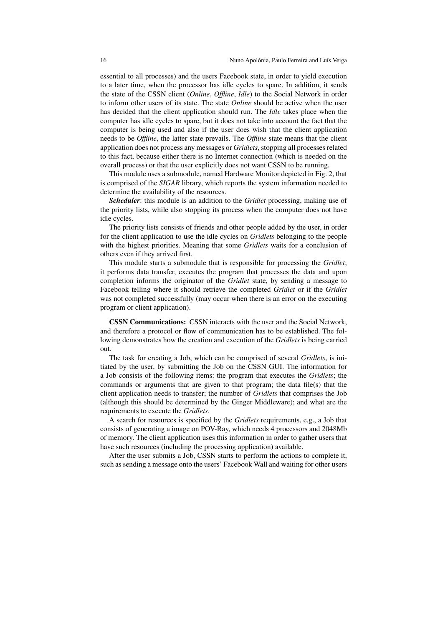essential to all processes) and the users Facebook state, in order to yield execution to a later time, when the processor has idle cycles to spare. In addition, it sends the state of the CSSN client (*Online*, *Offline*, *Idle*) to the Social Network in order to inform other users of its state. The state *Online* should be active when the user has decided that the client application should run. The *Idle* takes place when the computer has idle cycles to spare, but it does not take into account the fact that the computer is being used and also if the user does wish that the client application needs to be *Offline*, the latter state prevails. The *Offline* state means that the client application does not process any messages or *Gridlets*, stopping all processes related to this fact, because either there is no Internet connection (which is needed on the overall process) or that the user explicitly does not want CSSN to be running.

This module uses a submodule, named Hardware Monitor depicted in Fig. 2, that is comprised of the *SIGAR* library, which reports the system information needed to determine the availability of the resources.

*Scheduler*: this module is an addition to the *Gridlet* processing, making use of the priority lists, while also stopping its process when the computer does not have idle cycles.

The priority lists consists of friends and other people added by the user, in order for the client application to use the idle cycles on *Gridlets* belonging to the people with the highest priorities. Meaning that some *Gridlets* waits for a conclusion of others even if they arrived first.

This module starts a submodule that is responsible for processing the *Gridlet*; it performs data transfer, executes the program that processes the data and upon completion informs the originator of the *Gridlet* state, by sending a message to Facebook telling where it should retrieve the completed *Gridlet* or if the *Gridlet* was not completed successfully (may occur when there is an error on the executing program or client application).

CSSN Communications: CSSN interacts with the user and the Social Network, and therefore a protocol or flow of communication has to be established. The following demonstrates how the creation and execution of the *Gridlets* is being carried out.

The task for creating a Job, which can be comprised of several *Gridlets*, is initiated by the user, by submitting the Job on the CSSN GUI. The information for a Job consists of the following items: the program that executes the *Gridlets*; the commands or arguments that are given to that program; the data file(s) that the client application needs to transfer; the number of *Gridlets* that comprises the Job (although this should be determined by the Ginger Middleware); and what are the requirements to execute the *Gridlets*.

A search for resources is specified by the *Gridlets* requirements, e.g., a Job that consists of generating a image on POV-Ray, which needs 4 processors and 2048Mb of memory. The client application uses this information in order to gather users that have such resources (including the processing application) available.

After the user submits a Job, CSSN starts to perform the actions to complete it, such as sending a message onto the users' Facebook Wall and waiting for other users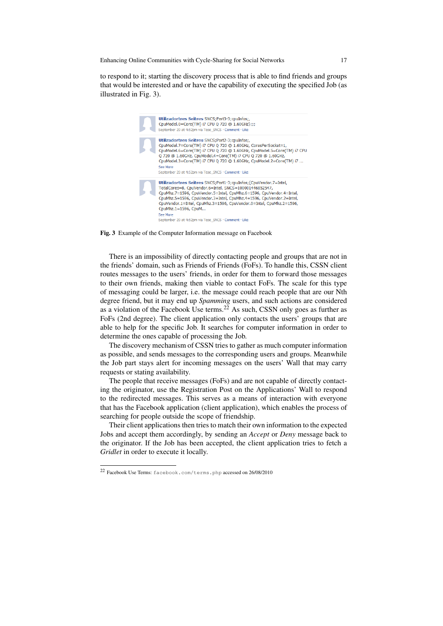to respond to it; starting the discovery process that is able to find friends and groups that would be interested and or have the capability of executing the specified Job (as illustrated in Fig. 3).



Fig. 3 Example of the Computer Information message on Facebook

There is an impossibility of directly contacting people and groups that are not in the friends' domain, such as Friends of Friends (FoFs). To handle this, CSSN client routes messages to the users' friends, in order for them to forward those messages to their own friends, making then viable to contact FoFs. The scale for this type of messaging could be larger, i.e. the message could reach people that are our Nth degree friend, but it may end up *Spamming* users, and such actions are considered as a violation of the Facebook Use terms.<sup>22</sup> As such, CSSN only goes as further as FoFs (2nd degree). The client application only contacts the users' groups that are able to help for the specific Job. It searches for computer information in order to determine the ones capable of processing the Job.

The discovery mechanism of CSSN tries to gather as much computer information as possible, and sends messages to the corresponding users and groups. Meanwhile the Job part stays alert for incoming messages on the users' Wall that may carry requests or stating availability.

The people that receive messages (FoFs) and are not capable of directly contacting the originator, use the Registration Post on the Applications' Wall to respond to the redirected messages. This serves as a means of interaction with everyone that has the Facebook application (client application), which enables the process of searching for people outside the scope of friendship.

Their client applications then tries to match their own information to the expected Jobs and accept them accordingly, by sending an *Accept* or *Deny* message back to the originator. If the Job has been accepted, the client application tries to fetch a *Gridlet* in order to execute it locally.

 $^{22}$  Facebook Use Terms:  $\texttt{facebook.com/terms}$  .php accessed on  $26/08/2010$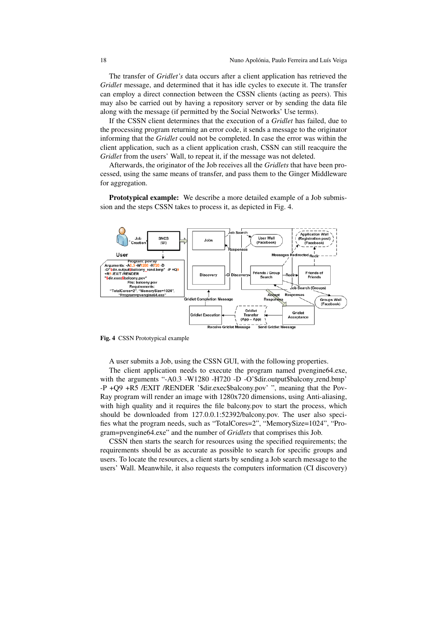The transfer of *Gridlet's* data occurs after a client application has retrieved the *Gridlet* message, and determined that it has idle cycles to execute it. The transfer can employ a direct connection between the CSSN clients (acting as peers). This may also be carried out by having a repository server or by sending the data file along with the message (if permitted by the Social Networks' Use terms).

If the CSSN client determines that the execution of a *Gridlet* has failed, due to the processing program returning an error code, it sends a message to the originator informing that the *Gridlet* could not be completed. In case the error was within the client application, such as a client application crash, CSSN can still reacquire the *Gridlet* from the users' Wall, to repeat it, if the message was not deleted.

Afterwards, the originator of the Job receives all the *Gridlets* that have been processed, using the same means of transfer, and pass them to the Ginger Middleware for aggregation.

Prototypical example: We describe a more detailed example of a Job submission and the steps CSSN takes to process it, as depicted in Fig. 4.



Fig. 4 CSSN Prototypical example

A user submits a Job, using the CSSN GUI, with the following properties.

The client application needs to execute the program named pvengine64.exe, with the arguments "-A0.3 -W1280 -H720 -D -O'\$dir.output\$balcony\_rend.bmp' -P +Q9 +R5 /EXIT /RENDER '\$dir.exec\$balcony.pov' ", meaning that the Pov-Ray program will render an image with 1280x720 dimensions, using Anti-aliasing, with high quality and it requires the file balcony.pov to start the process, which should be downloaded from 127.0.0.1:52392/balcony.pov. The user also specifies what the program needs, such as "TotalCores=2", "MemorySize=1024", "Program=pvengine64.exe" and the number of *Gridlets* that comprises this Job.

CSSN then starts the search for resources using the specified requirements; the requirements should be as accurate as possible to search for specific groups and users. To locate the resources, a client starts by sending a Job search message to the users' Wall. Meanwhile, it also requests the computers information (CI discovery)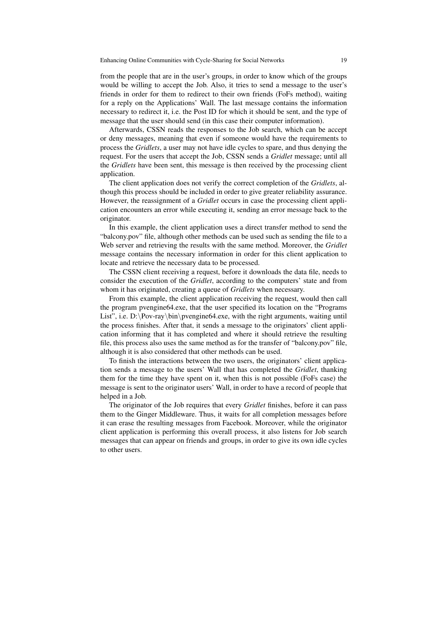from the people that are in the user's groups, in order to know which of the groups would be willing to accept the Job. Also, it tries to send a message to the user's friends in order for them to redirect to their own friends (FoFs method), waiting for a reply on the Applications' Wall. The last message contains the information necessary to redirect it, i.e. the Post ID for which it should be sent, and the type of message that the user should send (in this case their computer information).

Afterwards, CSSN reads the responses to the Job search, which can be accept or deny messages, meaning that even if someone would have the requirements to process the *Gridlets*, a user may not have idle cycles to spare, and thus denying the request. For the users that accept the Job, CSSN sends a *Gridlet* message; until all the *Gridlets* have been sent, this message is then received by the processing client application.

The client application does not verify the correct completion of the *Gridlets*, although this process should be included in order to give greater reliability assurance. However, the reassignment of a *Gridlet* occurs in case the processing client application encounters an error while executing it, sending an error message back to the originator.

In this example, the client application uses a direct transfer method to send the "balcony.pov" file, although other methods can be used such as sending the file to a Web server and retrieving the results with the same method. Moreover, the *Gridlet* message contains the necessary information in order for this client application to locate and retrieve the necessary data to be processed.

The CSSN client receiving a request, before it downloads the data file, needs to consider the execution of the *Gridlet*, according to the computers' state and from whom it has originated, creating a queue of *Gridlets* when necessary.

From this example, the client application receiving the request, would then call the program pvengine64.exe, that the user specified its location on the "Programs List", i.e. D:*\*Pov-ray*\*bin*\*pvengine64.exe, with the right arguments, waiting until the process finishes. After that, it sends a message to the originators' client application informing that it has completed and where it should retrieve the resulting file, this process also uses the same method as for the transfer of "balcony.pov" file, although it is also considered that other methods can be used.

To finish the interactions between the two users, the originators' client application sends a message to the users' Wall that has completed the *Gridlet*, thanking them for the time they have spent on it, when this is not possible (FoFs case) the message is sent to the originator users' Wall, in order to have a record of people that helped in a Job.

The originator of the Job requires that every *Gridlet* finishes, before it can pass them to the Ginger Middleware. Thus, it waits for all completion messages before it can erase the resulting messages from Facebook. Moreover, while the originator client application is performing this overall process, it also listens for Job search messages that can appear on friends and groups, in order to give its own idle cycles to other users.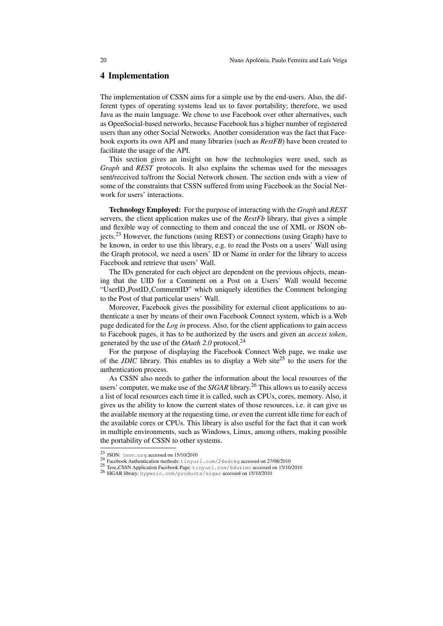### 4 Implementation

The implementation of CSSN aims for a simple use by the end-users. Also, the different types of operating systems lead us to favor portability; therefore, we used Java as the main language. We chose to use Facebook over other alternatives, such as OpenSocial-based networks, because Facebook has a higher number of registered users than any other Social Networks. Another consideration was the fact that Facebook exports its own API and many libraries (such as *RestFB*) have been created to facilitate the usage of the API.

This section gives an insight on how the technologies were used, such as *Graph* and *REST* protocols. It also explains the schemas used for the messages sent/received to/from the Social Network chosen. The section ends with a view of some of the constraints that CSSN suffered from using Facebook as the Social Network for users' interactions.

Technology Employed: For the purpose of interacting with the *Graph* and *REST* servers, the client application makes use of the *RestFb* library, that gives a simple and flexible way of connecting to them and conceal the use of XML or JSON objects.<sup>23</sup> However, the functions (using REST) or connections (using Graph) have to be known, in order to use this library, e.g. to read the Posts on a users' Wall using the Graph protocol, we need a users' ID or Name in order for the library to access Facebook and retrieve that users' Wall.

The IDs generated for each object are dependent on the previous objects, meaning that the UID for a Comment on a Post on a Users' Wall would become "UserID PostID CommentID" which uniquely identifies the Comment belonging to the Post of that particular users' Wall.

Moreover, Facebook gives the possibility for external client applications to authenticate a user by means of their own Facebook Connect system, which is a Web page dedicated for the *Log in* process. Also, for the client applications to gain access to Facebook pages, it has to be authorized by the users and given an *access token*, generated by the use of the *OAuth 2.0* protocol.<sup>24</sup>

For the purpose of displaying the Facebook Connect Web page, we make use of the *JDIC* library. This enables us to display a Web site<sup>25</sup> to the users for the authentication process.

As CSSN also needs to gather the information about the local resources of the users' computer, we make use of the *SIGAR* library.<sup>26</sup> This allows us to easily access a list of local resources each time it is called, such as CPUs, cores, memory. Also, it gives us the ability to know the current states of those resources, i.e. it can give us the available memory at the requesting time, or even the current idle time for each of the available cores or CPUs. This library is also useful for the fact that it can work in multiple environments, such as Windows, Linux, among others, making possible the portability of CSSN to other systems.

<sup>23</sup> JSON: json.org accessed on 15/10/2010

<sup>24</sup> Facebook Authentication methods: tinyurl.com/24edrkg accessed on 27/08/2010

<sup>25</sup> Tese CSSN Application Facebook Page: tinyurl.com/6duzlmc accessed on 15/10/2010

<sup>26</sup> SIGAR library: hyperic.com/products/sigar accessed on 15/10/2010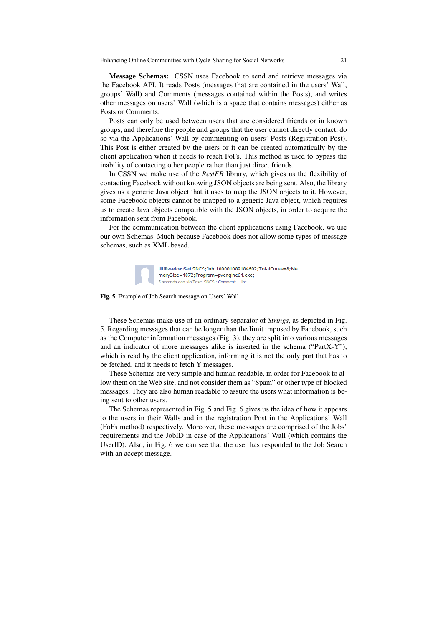Message Schemas: CSSN uses Facebook to send and retrieve messages via the Facebook API. It reads Posts (messages that are contained in the users' Wall, groups' Wall) and Comments (messages contained within the Posts), and writes other messages on users' Wall (which is a space that contains messages) either as Posts or Comments.

Posts can only be used between users that are considered friends or in known groups, and therefore the people and groups that the user cannot directly contact, do so via the Applications' Wall by commenting on users' Posts (Registration Post). This Post is either created by the users or it can be created automatically by the client application when it needs to reach FoFs. This method is used to bypass the inability of contacting other people rather than just direct friends.

In CSSN we make use of the *RestFB* library, which gives us the flexibility of contacting Facebook without knowing JSON objects are being sent. Also, the library gives us a generic Java object that it uses to map the JSON objects to it. However, some Facebook objects cannot be mapped to a generic Java object, which requires us to create Java objects compatible with the JSON objects, in order to acquire the information sent from Facebook.

For the communication between the client applications using Facebook, we use our own Schemas. Much because Facebook does not allow some types of message schemas, such as XML based.



#### Fig. 5 Example of Job Search message on Users' Wall

These Schemas make use of an ordinary separator of *Strings*, as depicted in Fig. 5. Regarding messages that can be longer than the limit imposed by Facebook, such as the Computer information messages (Fig. 3), they are split into various messages and an indicator of more messages alike is inserted in the schema ("PartX-Y"), which is read by the client application, informing it is not the only part that has to be fetched, and it needs to fetch Y messages.

These Schemas are very simple and human readable, in order for Facebook to allow them on the Web site, and not consider them as "Spam" or other type of blocked messages. They are also human readable to assure the users what information is being sent to other users.

The Schemas represented in Fig. 5 and Fig. 6 gives us the idea of how it appears to the users in their Walls and in the registration Post in the Applications' Wall (FoFs method) respectively. Moreover, these messages are comprised of the Jobs' requirements and the JobID in case of the Applications' Wall (which contains the UserID). Also, in Fig. 6 we can see that the user has responded to the Job Search with an accept message.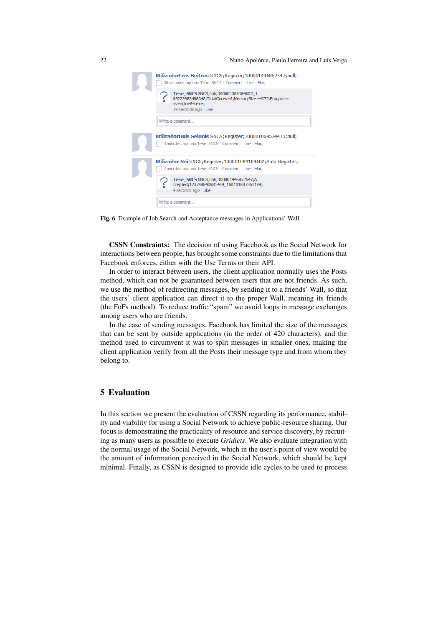#### 22 Nuno Apolónia, Paulo Ferreira and Luís Veiga



Fig. 6 Example of Job Search and Acceptance messages in Applications' Wall

CSSN Constraints: The decision of using Facebook as the Social Network for interactions between people, has brought some constraints due to the limitations that Facebook enforces, either with the Use Terms or their API.

In order to interact between users, the client application normally uses the Posts method, which can not be guaranteed between users that are not friends. As such, we use the method of redirecting messages, by sending it to a friends' Wall, so that the users' client application can direct it to the proper Wall, meaning its friends (the FoFs method). To reduce traffic "spam" we avoid loops in message exchanges among users who are friends.

In the case of sending messages, Facebook has limited the size of the messages that can be sent by outside applications (in the order of 420 characters), and the method used to circumvent it was to split messages in smaller ones, making the client application verify from all the Posts their message type and from whom they belong to.

## 5 Evaluation

In this section we present the evaluation of CSSN regarding its performance, stability and viability for using a Social Network to achieve public-resource sharing. Our focus is demonstrating the practicality of resource and service discovery, by recruiting as many users as possible to execute *Gridlets*. We also evaluate integration with the normal usage of the Social Network, which in the user's point of view would be the amount of information perceived in the Social Network, which should be kept minimal. Finally, as CSSN is designed to provide idle cycles to be used to process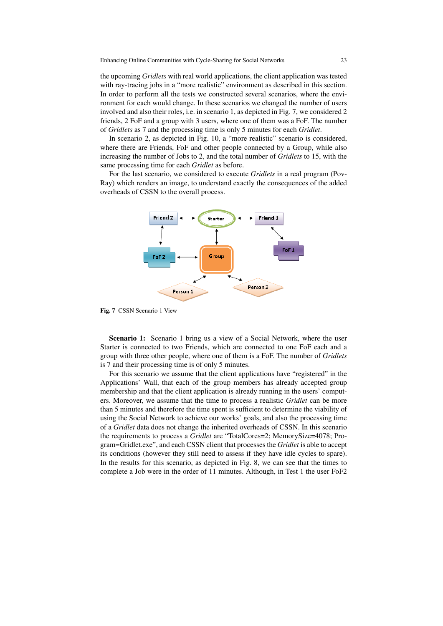the upcoming *Gridlets* with real world applications, the client application was tested with ray-tracing jobs in a "more realistic" environment as described in this section. In order to perform all the tests we constructed several scenarios, where the environment for each would change. In these scenarios we changed the number of users involved and also their roles, i.e. in scenario 1, as depicted in Fig. 7, we considered 2 friends, 2 FoF and a group with 3 users, where one of them was a FoF. The number of *Gridlets* as 7 and the processing time is only 5 minutes for each *Gridlet*.

In scenario 2, as depicted in Fig. 10, a "more realistic" scenario is considered, where there are Friends, FoF and other people connected by a Group, while also increasing the number of Jobs to 2, and the total number of *Gridlets* to 15, with the same processing time for each *Gridlet* as before.

For the last scenario, we considered to execute *Gridlets* in a real program (Pov-Ray) which renders an image, to understand exactly the consequences of the added overheads of CSSN to the overall process.



Fig. 7 CSSN Scenario 1 View

Scenario 1: Scenario 1 bring us a view of a Social Network, where the user Starter is connected to two Friends, which are connected to one FoF each and a group with three other people, where one of them is a FoF. The number of *Gridlets* is 7 and their processing time is of only 5 minutes.

For this scenario we assume that the client applications have "registered" in the Applications' Wall, that each of the group members has already accepted group membership and that the client application is already running in the users' computers. Moreover, we assume that the time to process a realistic *Gridlet* can be more than 5 minutes and therefore the time spent is sufficient to determine the viability of using the Social Network to achieve our works' goals, and also the processing time of a *Gridlet* data does not change the inherited overheads of CSSN. In this scenario the requirements to process a *Gridlet* are "TotalCores=2; MemorySize=4078; Program=Gridlet.exe", and each CSSN client that processes the *Gridlet* is able to accept its conditions (however they still need to assess if they have idle cycles to spare). In the results for this scenario, as depicted in Fig. 8, we can see that the times to complete a Job were in the order of 11 minutes. Although, in Test 1 the user FoF2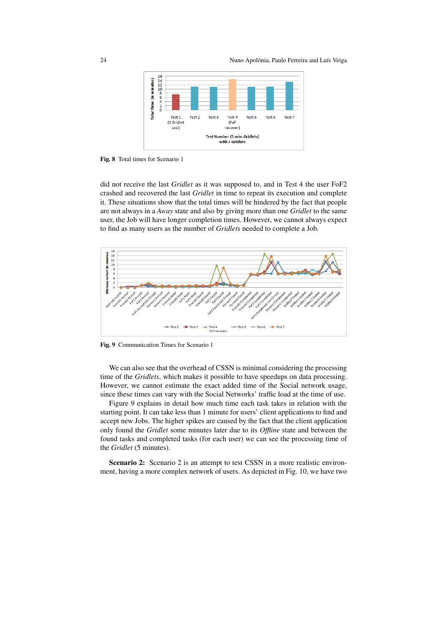

Fig. 8 Total times for Scenario 1

did not receive the last *Gridlet* as it was supposed to, and in Test 4 the user FoF2 crashed and recovered the last *Gridlet* in time to repeat its execution and complete it. These situations show that the total times will be hindered by the fact that people are not always in a *Away* state and also by giving more than one *Gridlet* to the same user, the Job will have longer completion times. However, we cannot always expect to find as many users as the number of *Gridlets* needed to complete a Job.



Fig. 9 Communication Times for Scenario 1

We can also see that the overhead of CSSN is minimal considering the processing time of the *Gridlets*, which makes it possible to have speedups on data processing. However, we cannot estimate the exact added time of the Social network usage, since these times can vary with the Social Networks' traffic load at the time of use.

Figure 9 explains in detail how much time each task takes in relation with the starting point. It can take less than 1 minute for users' client applications to find and accept new Jobs. The higher spikes are caused by the fact that the client application only found the *Gridlet* some minutes later due to its *Offline* state and between the found tasks and completed tasks (for each user) we can see the processing time of the *Gridlet* (5 minutes).

Scenario 2: Scenario 2 is an attempt to test CSSN in a more realistic environment, having a more complex network of users. As depicted in Fig. 10, we have two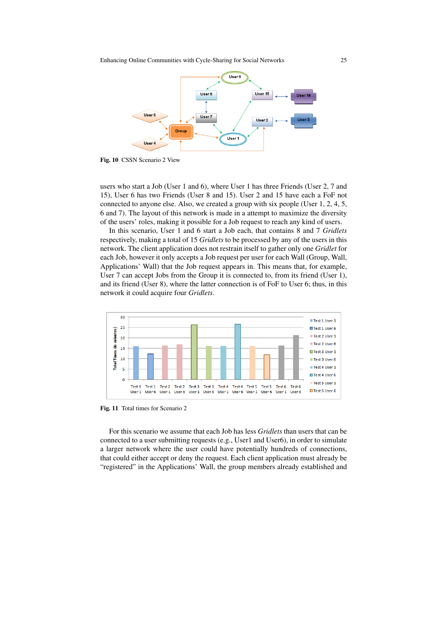

Fig. 10 CSSN Scenario 2 View

users who start a Job (User 1 and 6), where User 1 has three Friends (User 2, 7 and 15), User 6 has two Friends (User 8 and 15). User 2 and 15 have each a FoF not connected to anyone else. Also, we created a group with six people (User 1, 2, 4, 5, 6 and 7). The layout of this network is made in a attempt to maximize the diversity of the users' roles, making it possible for a Job request to reach any kind of users.

In this scenario, User 1 and 6 start a Job each, that contains 8 and 7 *Gridlets* respectively, making a total of 15 *Gridlets* to be processed by any of the users in this network. The client application does not restrain itself to gather only one *Gridlet* for each Job, however it only accepts a Job request per user for each Wall (Group, Wall, Applications' Wall) that the Job request appears in. This means that, for example, User 7 can accept Jobs from the Group it is connected to, from its friend (User 1), and its friend (User 8), where the latter connection is of FoF to User 6; thus, in this network it could acquire four *Gridlets*.



Fig. 11 Total times for Scenario 2

For this scenario we assume that each Job has less *Gridlets* than users that can be connected to a user submitting requests (e.g., User1 and User6), in order to simulate a larger network where the user could have potentially hundreds of connections, that could either accept or deny the request. Each client application must already be "registered" in the Applications' Wall, the group members already established and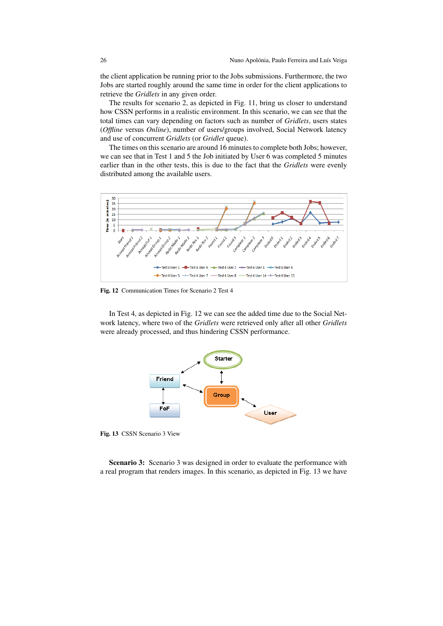the client application be running prior to the Jobs submissions. Furthermore, the two Jobs are started roughly around the same time in order for the client applications to retrieve the *Gridlets* in any given order.

The results for scenario 2, as depicted in Fig. 11, bring us closer to understand how CSSN performs in a realistic environment. In this scenario, we can see that the total times can vary depending on factors such as number of *Gridlets*, users states (*Offline* versus *Online*), number of users/groups involved, Social Network latency and use of concurrent *Gridlets* (or *Gridlet* queue).

The times on this scenario are around 16 minutes to complete both Jobs; however, we can see that in Test 1 and 5 the Job initiated by User 6 was completed 5 minutes earlier than in the other tests, this is due to the fact that the *Gridlets* were evenly distributed among the available users.



Fig. 12 Communication Times for Scenario 2 Test 4

In Test 4, as depicted in Fig. 12 we can see the added time due to the Social Network latency, where two of the *Gridlets* were retrieved only after all other *Gridlets* were already processed, and thus hindering CSSN performance.



Fig. 13 CSSN Scenario 3 View

Scenario 3: Scenario 3 was designed in order to evaluate the performance with a real program that renders images. In this scenario, as depicted in Fig. 13 we have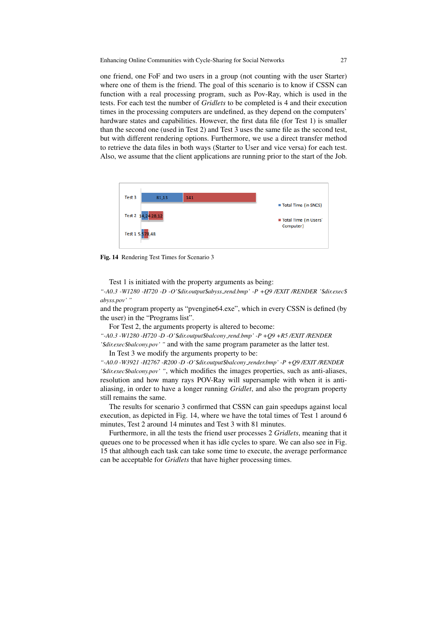one friend, one FoF and two users in a group (not counting with the user Starter) where one of them is the friend. The goal of this scenario is to know if CSSN can function with a real processing program, such as Pov-Ray, which is used in the tests. For each test the number of *Gridlets* to be completed is 4 and their execution times in the processing computers are undefined, as they depend on the computers' hardware states and capabilities. However, the first data file (for Test 1) is smaller than the second one (used in Test 2) and Test 3 uses the same file as the second test, but with different rendering options. Furthermore, we use a direct transfer method to retrieve the data files in both ways (Starter to User and vice versa) for each test. Also, we assume that the client applications are running prior to the start of the Job.



Fig. 14 Rendering Test Times for Scenario 3

Test 1 is initiated with the property arguments as being:

*"-A0.3 -W1280 -H720 -D -O'*\$*dir.output*\$*abyss rend.bmp' -P +Q9 /EXIT /RENDER '*\$*dir.exec*\$ *abyss.pov' "*

and the program property as "pvengine64.exe", which in every CSSN is defined (by the user) in the "Programs list".

For Test 2, the arguments property is altered to become: *"-A0.3 -W1280 -H720 -D -O'*\$*dir.output*\$*balcony rend.bmp' -P +Q9 +R5 /EXIT /RENDER '*\$*dir.exec*\$*balcony.pov' "* and with the same program parameter as the latter test.

In Test 3 we modify the arguments property to be:

*"-A0.0 -W3921 -H2767 -R200 -D -O'*\$*dir.output*\$*balcony render.bmp' -P +Q9 /EXIT /RENDER '*\$*dir.exec*\$*balcony.pov' "*, which modifies the images properties, such as anti-aliases, resolution and how many rays POV-Ray will supersample with when it is antialiasing, in order to have a longer running *Gridlet*, and also the program property still remains the same.

The results for scenario 3 confirmed that CSSN can gain speedups against local execution, as depicted in Fig. 14, where we have the total times of Test 1 around 6 minutes, Test 2 around 14 minutes and Test 3 with 81 minutes.

Furthermore, in all the tests the friend user processes 2 *Gridlets*, meaning that it queues one to be processed when it has idle cycles to spare. We can also see in Fig. 15 that although each task can take some time to execute, the average performance can be acceptable for *Gridlets* that have higher processing times.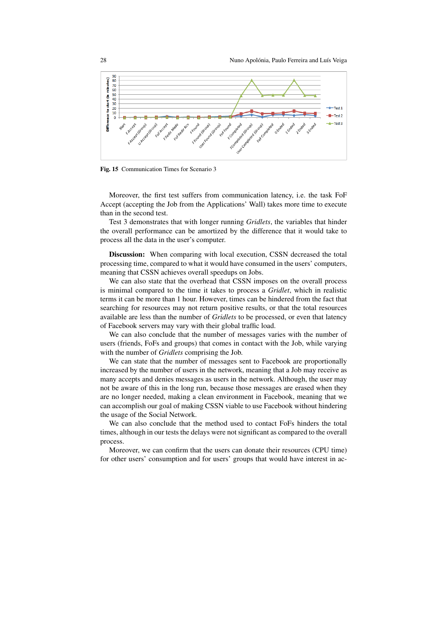

Fig. 15 Communication Times for Scenario 3

Moreover, the first test suffers from communication latency, i.e. the task FoF Accept (accepting the Job from the Applications' Wall) takes more time to execute than in the second test.

Test 3 demonstrates that with longer running *Gridlets*, the variables that hinder the overall performance can be amortized by the difference that it would take to process all the data in the user's computer.

Discussion: When comparing with local execution, CSSN decreased the total processing time, compared to what it would have consumed in the users' computers, meaning that CSSN achieves overall speedups on Jobs.

We can also state that the overhead that CSSN imposes on the overall process is minimal compared to the time it takes to process a *Gridlet*, which in realistic terms it can be more than 1 hour. However, times can be hindered from the fact that searching for resources may not return positive results, or that the total resources available are less than the number of *Gridlets* to be processed, or even that latency of Facebook servers may vary with their global traffic load.

We can also conclude that the number of messages varies with the number of users (friends, FoFs and groups) that comes in contact with the Job, while varying with the number of *Gridlets* comprising the Job.

We can state that the number of messages sent to Facebook are proportionally increased by the number of users in the network, meaning that a Job may receive as many accepts and denies messages as users in the network. Although, the user may not be aware of this in the long run, because those messages are erased when they are no longer needed, making a clean environment in Facebook, meaning that we can accomplish our goal of making CSSN viable to use Facebook without hindering the usage of the Social Network.

We can also conclude that the method used to contact FoFs hinders the total times, although in our tests the delays were not significant as compared to the overall process.

Moreover, we can confirm that the users can donate their resources (CPU time) for other users' consumption and for users' groups that would have interest in ac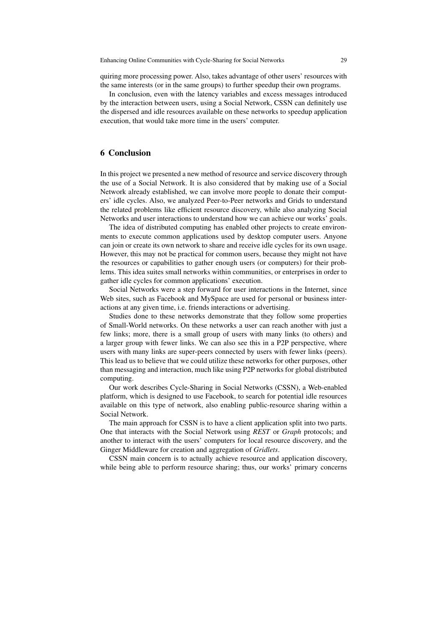quiring more processing power. Also, takes advantage of other users' resources with the same interests (or in the same groups) to further speedup their own programs.

In conclusion, even with the latency variables and excess messages introduced by the interaction between users, using a Social Network, CSSN can definitely use the dispersed and idle resources available on these networks to speedup application execution, that would take more time in the users' computer.

# 6 Conclusion

In this project we presented a new method of resource and service discovery through the use of a Social Network. It is also considered that by making use of a Social Network already established, we can involve more people to donate their computers' idle cycles. Also, we analyzed Peer-to-Peer networks and Grids to understand the related problems like efficient resource discovery, while also analyzing Social Networks and user interactions to understand how we can achieve our works' goals.

The idea of distributed computing has enabled other projects to create environments to execute common applications used by desktop computer users. Anyone can join or create its own network to share and receive idle cycles for its own usage. However, this may not be practical for common users, because they might not have the resources or capabilities to gather enough users (or computers) for their problems. This idea suites small networks within communities, or enterprises in order to gather idle cycles for common applications' execution.

Social Networks were a step forward for user interactions in the Internet, since Web sites, such as Facebook and MySpace are used for personal or business interactions at any given time, i.e. friends interactions or advertising.

Studies done to these networks demonstrate that they follow some properties of Small-World networks. On these networks a user can reach another with just a few links; more, there is a small group of users with many links (to others) and a larger group with fewer links. We can also see this in a P2P perspective, where users with many links are super-peers connected by users with fewer links (peers). This lead us to believe that we could utilize these networks for other purposes, other than messaging and interaction, much like using P2P networks for global distributed computing.

Our work describes Cycle-Sharing in Social Networks (CSSN), a Web-enabled platform, which is designed to use Facebook, to search for potential idle resources available on this type of network, also enabling public-resource sharing within a Social Network.

The main approach for CSSN is to have a client application split into two parts. One that interacts with the Social Network using *REST* or *Graph* protocols; and another to interact with the users' computers for local resource discovery, and the Ginger Middleware for creation and aggregation of *Gridlets*.

CSSN main concern is to actually achieve resource and application discovery, while being able to perform resource sharing; thus, our works' primary concerns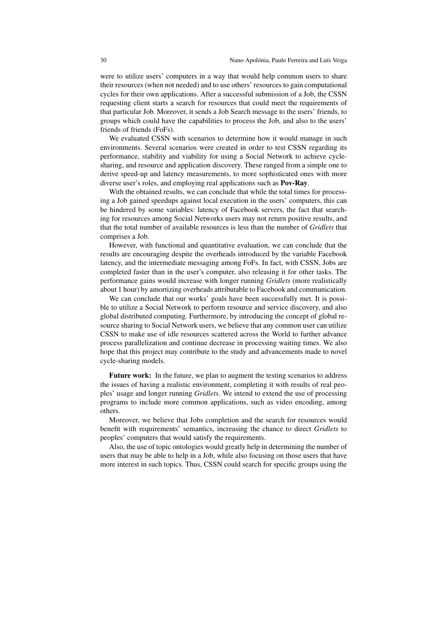were to utilize users' computers in a way that would help common users to share their resources (when not needed) and to use others' resources to gain computational cycles for their own applications. After a successful submission of a Job, the CSSN requesting client starts a search for resources that could meet the requirements of that particular Job. Moreover, it sends a Job Search message to the users' friends, to groups which could have the capabilities to process the Job, and also to the users' friends of friends (FoFs).

We evaluated CSSN with scenarios to determine how it would manage in such environments. Several scenarios were created in order to test CSSN regarding its performance, stability and viability for using a Social Network to achieve cyclesharing, and resource and application discovery. These ranged from a simple one to derive speed-up and latency measurements, to more sophisticated ones with more diverse user's roles, and employing real applications such as Pov-Ray.

With the obtained results, we can conclude that while the total times for processing a Job gained speedups against local execution in the users' computers, this can be hindered by some variables: latency of Facebook servers, the fact that searching for resources among Social Networks users may not return positive results, and that the total number of available resources is less than the number of *Gridlets* that comprises a Job.

However, with functional and quantitative evaluation, we can conclude that the results are encouraging despite the overheads introduced by the variable Facebook latency, and the intermediate messaging among FoFs. In fact, with CSSN, Jobs are completed faster than in the user's computer, also releasing it for other tasks. The performance gains would increase with longer running *Gridlets* (more realistically about 1 hour) by amortizing overheads attributable to Facebook and communication.

We can conclude that our works' goals have been successfully met. It is possible to utilize a Social Network to perform resource and service discovery, and also global distributed computing. Furthermore, by introducing the concept of global resource sharing to Social Network users, we believe that any common user can utilize CSSN to make use of idle resources scattered across the World to further advance process parallelization and continue decrease in processing waiting times. We also hope that this project may contribute to the study and advancements made to novel cycle-sharing models.

Future work: In the future, we plan to augment the testing scenarios to address the issues of having a realistic environment, completing it with results of real peoples' usage and longer running *Gridlets*. We intend to extend the use of processing programs to include more common applications, such as video encoding, among others.

Moreover, we believe that Jobs completion and the search for resources would benefit with requirements' semantics, increasing the chance to direct *Gridlets* to peoples' computers that would satisfy the requirements.

Also, the use of topic ontologies would greatly help in determining the number of users that may be able to help in a Job, while also focusing on those users that have more interest in such topics. Thus, CSSN could search for specific groups using the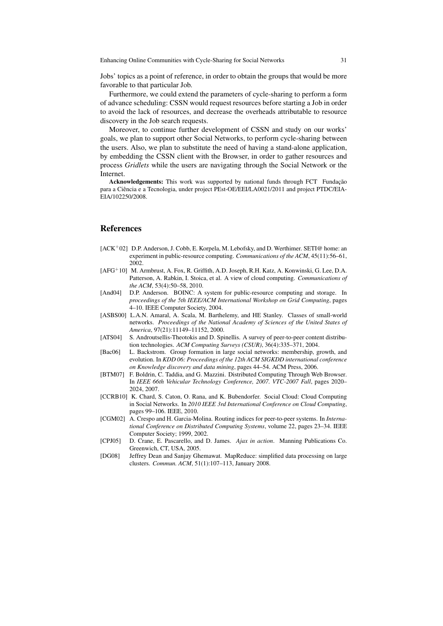Jobs' topics as a point of reference, in order to obtain the groups that would be more favorable to that particular Job.

Furthermore, we could extend the parameters of cycle-sharing to perform a form of advance scheduling: CSSN would request resources before starting a Job in order to avoid the lack of resources, and decrease the overheads attributable to resource discovery in the Job search requests.

Moreover, to continue further development of CSSN and study on our works' goals, we plan to support other Social Networks, to perform cycle-sharing between the users. Also, we plan to substitute the need of having a stand-alone application, by embedding the CSSN client with the Browser, in order to gather resources and process *Gridlets* while the users are navigating through the Social Network or the Internet.

Acknowledgements: This work was supported by national funds through FCT Fundacão para a Ciencia e a Tecnologia, under project PEst-OE/EEI/LA0021/2011 and project PTDC/EIA- ˆ EIA/102250/2008.

### References

- [ACK<sup>+</sup>02] D.P. Anderson, J. Cobb, E. Korpela, M. Lebofsky, and D. Werthimer. SETI@ home: an experiment in public-resource computing. *Communications of the ACM*, 45(11):56–61, 2002.
- [AFG+10] M. Armbrust, A. Fox, R. Griffith, A.D. Joseph, R.H. Katz, A. Konwinski, G. Lee, D.A. Patterson, A. Rabkin, I. Stoica, et al. A view of cloud computing. *Communications of the ACM*, 53(4):50–58, 2010.
- [And04] D.P. Anderson. BOINC: A system for public-resource computing and storage. In *proceedings of the 5th IEEE/ACM International Workshop on Grid Computing*, pages 4–10. IEEE Computer Society, 2004.
- [ASBS00] L.A.N. Amaral, A. Scala, M. Barthelemy, and HE Stanley. Classes of small-world networks. *Proceedings of the National Academy of Sciences of the United States of America*, 97(21):11149–11152, 2000.
- [ATS04] S. Androutsellis-Theotokis and D. Spinellis. A survey of peer-to-peer content distribution technologies. *ACM Computing Surveys (CSUR)*, 36(4):335–371, 2004.
- [Bac06] L. Backstrom. Group formation in large social networks: membership, growth, and evolution. In *KDD 06: Proceedings of the 12th ACM SIGKDD international conference on Knowledge discovery and data mining*, pages 44–54. ACM Press, 2006.
- [BTM07] F. Boldrin, C. Taddia, and G. Mazzini. Distributed Computing Through Web Browser. In *IEEE 66th Vehicular Technology Conference, 2007. VTC-2007 Fall*, pages 2020– 2024, 2007.
- [CCRB10] K. Chard, S. Caton, O. Rana, and K. Bubendorfer. Social Cloud: Cloud Computing in Social Networks. In *2010 IEEE 3rd International Conference on Cloud Computing*, pages 99–106. IEEE, 2010.
- [CGM02] A. Crespo and H. Garcia-Molina. Routing indices for peer-to-peer systems. In *International Conference on Distributed Computing Systems*, volume 22, pages 23–34. IEEE Computer Society; 1999, 2002.
- [CPJ05] D. Crane, E. Pascarello, and D. James. *Ajax in action*. Manning Publications Co. Greenwich, CT, USA, 2005.
- [DG08] Jeffrey Dean and Sanjay Ghemawat. MapReduce: simplified data processing on large clusters. *Commun. ACM*, 51(1):107–113, January 2008.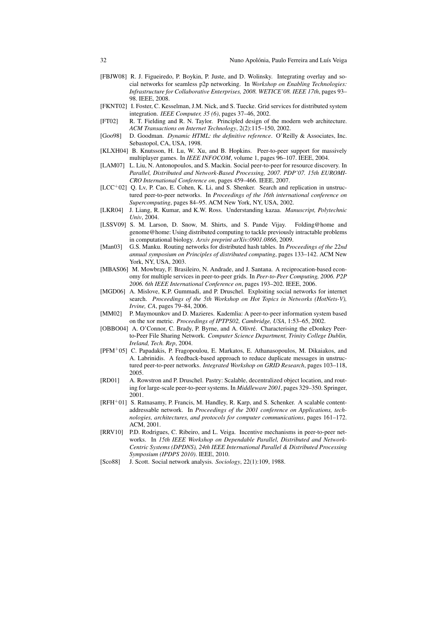- [FBJW08] R. J. Figueiredo, P. Boykin, P. Juste, and D. Wolinsky. Integrating overlay and social networks for seamless p2p networking. In *Workshop on Enabling Technologies: Infrastructure for Collaborative Enterprises, 2008. WETICE'08. IEEE 17th*, pages 93– 98. IEEE, 2008.
- [FKNT02] I. Foster, C. Kesselman, J.M. Nick, and S. Tuecke. Grid services for distributed system integration. *IEEE Computer, 35 (6)*, pages 37–46, 2002.
- [FT02] R. T. Fielding and R. N. Taylor. Principled design of the modern web architecture. *ACM Transactions on Internet Technology*, 2(2):115–150, 2002.
- [Goo98] D. Goodman. *Dynamic HTML: the definitive reference*. O'Reilly & Associates, Inc. Sebastopol, CA, USA, 1998.
- [KLXH04] B. Knutsson, H. Lu, W. Xu, and B. Hopkins. Peer-to-peer support for massively multiplayer games. In *IEEE INFOCOM*, volume 1, pages 96–107. IEEE, 2004.
- [LAM07] L. Liu, N. Antonopoulos, and S. Mackin. Social peer-to-peer for resource discovery. In *Parallel, Distributed and Network-Based Processing, 2007. PDP'07. 15th EUROMI-CRO International Conference on*, pages 459–466. IEEE, 2007.
- [LCC<sup>+</sup>02] Q. Lv, P. Cao, E. Cohen, K. Li, and S. Shenker. Search and replication in unstructured peer-to-peer networks. In *Proceedings of the 16th international conference on Supercomputing*, pages 84–95. ACM New York, NY, USA, 2002.
- [LKR04] J. Liang, R. Kumar, and K.W. Ross. Understanding kazaa. *Manuscript, Polytechnic Univ*, 2004.
- [LSSV09] S. M. Larson, D. Snow, M. Shirts, and S. Pande Vijay. Folding@home and genome@home: Using distributed computing to tackle previously intractable problems in computational biology. *Arxiv preprint arXiv:0901.0866*, 2009.
- [Man03] G.S. Manku. Routing networks for distributed hash tables. In *Proceedings of the 22nd annual symposium on Principles of distributed computing*, pages 133–142. ACM New York, NY, USA, 2003.
- [MBAS06] M. Mowbray, F. Brasileiro, N. Andrade, and J. Santana. A reciprocation-based economy for multiple services in peer-to-peer grids. In *Peer-to-Peer Computing, 2006. P2P 2006. 6th IEEE International Conference on*, pages 193–202. IEEE, 2006.
- [MGD06] A. Mislove, K.P. Gummadi, and P. Druschel. Exploiting social networks for internet search. *Proceedings of the 5th Workshop on Hot Topics in Networks (HotNets-V), Irvine, CA*, pages 79–84, 2006.
- [MM02] P. Maymounkov and D. Mazieres. Kademlia: A peer-to-peer information system based on the xor metric. *Proceedings of IPTPS02, Cambridge, USA*, 1:53–65, 2002.
- [OBBO04] A. O'Connor, C. Brady, P. Byrne, and A. Olivré. Characterising the eDonkey Peerto-Peer File Sharing Network. *Computer Science Department, Trinity College Dublin, Ireland, Tech. Rep*, 2004.
- [PFM+05] C. Papadakis, P. Fragopoulou, E. Markatos, E. Athanasopoulos, M. Dikaiakos, and A. Labrinidis. A feedback-based approach to reduce duplicate messages in unstructured peer-to-peer networks. *Integrated Workshop on GRID Research*, pages 103–118, 2005.
- [RD01] A. Rowstron and P. Druschel. Pastry: Scalable, decentralized object location, and routing for large-scale peer-to-peer systems. In *Middleware 2001*, pages 329–350. Springer, 2001.
- [RFH<sup>+</sup>01] S. Ratnasamy, P. Francis, M. Handley, R. Karp, and S. Schenker. A scalable contentaddressable network. In *Proceedings of the 2001 conference on Applications, technologies, architectures, and protocols for computer communications*, pages 161–172. ACM, 2001.
- [RRV10] P.D. Rodrigues, C. Ribeiro, and L. Veiga. Incentive mechanisms in peer-to-peer networks. In *15th IEEE Workshop on Dependable Parallel, Distributed and Network-Centric Systems (DPDNS), 24th IEEE International Parallel & Distributed Processing Symposium (IPDPS 2010)*. IEEE, 2010.
- [Sco88] J. Scott. Social network analysis. *Sociology*, 22(1):109, 1988.